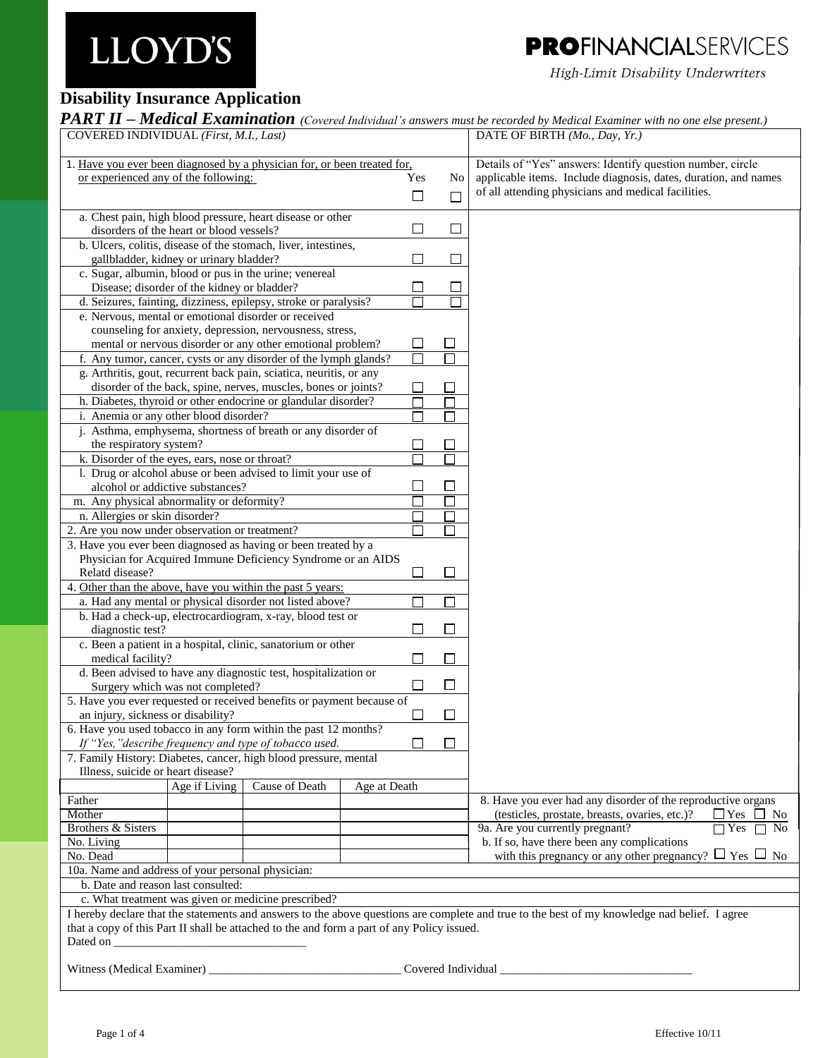## **PROFINANCIALSERVICES**

High-Limit Disability Underwriters

### **Disability Insurance Application**

*PART II – Medical Examination (Covered Individual's answers must be recorded by Medical Examiner with no one else present.)*

| COVERED INDIVIDUAL (First, M.I., Last)                                                                                                                                                               |               |                                                                     |              |                         | DATE OF BIRTH (Mo., Day, Yr.)                                                                             |  |  |
|------------------------------------------------------------------------------------------------------------------------------------------------------------------------------------------------------|---------------|---------------------------------------------------------------------|--------------|-------------------------|-----------------------------------------------------------------------------------------------------------|--|--|
| 1. Have you ever been diagnosed by a physician for, or been treated for,                                                                                                                             |               |                                                                     |              |                         | Details of "Yes" answers: Identify question number, circle                                                |  |  |
| or experienced any of the following:                                                                                                                                                                 |               |                                                                     |              | Yes<br>No.              | applicable items. Include diagnosis, dates, duration, and names                                           |  |  |
|                                                                                                                                                                                                      |               |                                                                     |              | $\Box$<br>$\Box$        | of all attending physicians and medical facilities.                                                       |  |  |
|                                                                                                                                                                                                      |               |                                                                     |              |                         |                                                                                                           |  |  |
|                                                                                                                                                                                                      |               | a. Chest pain, high blood pressure, heart disease or other          |              |                         |                                                                                                           |  |  |
| disorders of the heart or blood vessels?                                                                                                                                                             |               |                                                                     |              | □<br>$\Box$             |                                                                                                           |  |  |
|                                                                                                                                                                                                      |               | b. Ulcers, colitis, disease of the stomach, liver, intestines,      |              |                         |                                                                                                           |  |  |
| gallbladder, kidney or urinary bladder?                                                                                                                                                              |               |                                                                     |              | □<br>$\mathbf{I}$       |                                                                                                           |  |  |
|                                                                                                                                                                                                      |               | c. Sugar, albumin, blood or pus in the urine; venereal              |              |                         |                                                                                                           |  |  |
| Disease; disorder of the kidney or bladder?                                                                                                                                                          |               |                                                                     |              | $\Box$<br>$\Box$        |                                                                                                           |  |  |
|                                                                                                                                                                                                      |               | d. Seizures, fainting, dizziness, epilepsy, stroke or paralysis?    |              | П                       |                                                                                                           |  |  |
|                                                                                                                                                                                                      |               | e. Nervous, mental or emotional disorder or received                |              |                         |                                                                                                           |  |  |
|                                                                                                                                                                                                      |               | counseling for anxiety, depression, nervousness, stress,            |              |                         |                                                                                                           |  |  |
|                                                                                                                                                                                                      |               | mental or nervous disorder or any other emotional problem?          |              | □<br>⊔                  |                                                                                                           |  |  |
|                                                                                                                                                                                                      |               | f. Any tumor, cancer, cysts or any disorder of the lymph glands?    |              | □                       |                                                                                                           |  |  |
|                                                                                                                                                                                                      |               | g. Arthritis, gout, recurrent back pain, sciatica, neuritis, or any |              |                         |                                                                                                           |  |  |
|                                                                                                                                                                                                      |               | disorder of the back, spine, nerves, muscles, bones or joints?      |              |                         |                                                                                                           |  |  |
|                                                                                                                                                                                                      |               | h. Diabetes, thyroid or other endocrine or glandular disorder?      |              |                         |                                                                                                           |  |  |
| i. Anemia or any other blood disorder?                                                                                                                                                               |               |                                                                     |              |                         |                                                                                                           |  |  |
|                                                                                                                                                                                                      |               | j. Asthma, emphysema, shortness of breath or any disorder of        |              |                         |                                                                                                           |  |  |
| the respiratory system?                                                                                                                                                                              |               |                                                                     |              | ப                       |                                                                                                           |  |  |
| k. Disorder of the eyes, ears, nose or throat?                                                                                                                                                       |               |                                                                     |              |                         |                                                                                                           |  |  |
|                                                                                                                                                                                                      |               | 1. Drug or alcohol abuse or been advised to limit your use of       |              |                         |                                                                                                           |  |  |
| alcohol or addictive substances?                                                                                                                                                                     |               |                                                                     |              | $\Box$<br>$\Box$        |                                                                                                           |  |  |
| m. Any physical abnormality or deformity?                                                                                                                                                            |               |                                                                     |              | П                       |                                                                                                           |  |  |
| n. Allergies or skin disorder?                                                                                                                                                                       |               |                                                                     |              |                         |                                                                                                           |  |  |
| 2. Are you now under observation or treatment?                                                                                                                                                       |               |                                                                     |              |                         |                                                                                                           |  |  |
| 3. Have you ever been diagnosed as having or been treated by a                                                                                                                                       |               |                                                                     |              |                         |                                                                                                           |  |  |
|                                                                                                                                                                                                      |               | Physician for Acquired Immune Deficiency Syndrome or an AIDS        |              |                         |                                                                                                           |  |  |
| Relatd disease?                                                                                                                                                                                      |               |                                                                     |              | $\Box$<br>$\Box$        |                                                                                                           |  |  |
| 4. Other than the above, have you within the past 5 years:                                                                                                                                           |               |                                                                     |              |                         |                                                                                                           |  |  |
|                                                                                                                                                                                                      |               | a. Had any mental or physical disorder not listed above?            |              |                         |                                                                                                           |  |  |
|                                                                                                                                                                                                      |               |                                                                     |              | П                       |                                                                                                           |  |  |
|                                                                                                                                                                                                      |               | b. Had a check-up, electrocardiogram, x-ray, blood test or          |              | $\Box$<br>$\mathcal{L}$ |                                                                                                           |  |  |
| diagnostic test?                                                                                                                                                                                     |               |                                                                     |              |                         |                                                                                                           |  |  |
|                                                                                                                                                                                                      |               | c. Been a patient in a hospital, clinic, sanatorium or other        |              |                         |                                                                                                           |  |  |
| medical facility?                                                                                                                                                                                    |               | d. Been advised to have any diagnostic test, hospitalization or     |              | $\Box$                  |                                                                                                           |  |  |
|                                                                                                                                                                                                      |               |                                                                     |              | □<br>⊔                  |                                                                                                           |  |  |
| Surgery which was not completed?                                                                                                                                                                     |               |                                                                     |              |                         |                                                                                                           |  |  |
| 5. Have you ever requested or received benefits or payment because of<br>an injury, sickness or disability?                                                                                          |               |                                                                     |              |                         |                                                                                                           |  |  |
|                                                                                                                                                                                                      |               |                                                                     |              | $\Box$                  |                                                                                                           |  |  |
| 6. Have you used tobacco in any form within the past 12 months?                                                                                                                                      |               |                                                                     |              |                         |                                                                                                           |  |  |
| П<br>If "Yes, "describe frequency and type of tobacco used.<br>7. Family History: Diabetes, cancer, high blood pressure, mental                                                                      |               |                                                                     |              |                         |                                                                                                           |  |  |
|                                                                                                                                                                                                      |               |                                                                     |              |                         |                                                                                                           |  |  |
| Illness, suicide or heart disease?                                                                                                                                                                   |               | Cause of Death                                                      |              |                         |                                                                                                           |  |  |
|                                                                                                                                                                                                      | Age if Living |                                                                     | Age at Death |                         |                                                                                                           |  |  |
| Father                                                                                                                                                                                               |               |                                                                     |              |                         | 8. Have you ever had any disorder of the reproductive organs                                              |  |  |
| Mother<br><b>Brothers &amp; Sisters</b>                                                                                                                                                              |               |                                                                     |              |                         | $\Box$ Yes $\Box$ No<br>(testicles, prostate, breasts, ovaries, etc.)?<br>9a. Are you currently pregnant? |  |  |
|                                                                                                                                                                                                      |               |                                                                     |              |                         | $\Box$ Yes<br>$\Box$ No<br>b. If so, have there been any complications                                    |  |  |
| No. Living                                                                                                                                                                                           |               |                                                                     |              |                         | with this pregnancy or any other pregnancy? $\Box$ Yes $\Box$ No                                          |  |  |
| No. Dead                                                                                                                                                                                             |               |                                                                     |              |                         |                                                                                                           |  |  |
| 10a. Name and address of your personal physician:                                                                                                                                                    |               |                                                                     |              |                         |                                                                                                           |  |  |
| b. Date and reason last consulted:                                                                                                                                                                   |               |                                                                     |              |                         |                                                                                                           |  |  |
| c. What treatment was given or medicine prescribed?<br>I hereby declare that the statements and answers to the above questions are complete and true to the best of my knowledge nad belief. I agree |               |                                                                     |              |                         |                                                                                                           |  |  |
|                                                                                                                                                                                                      |               |                                                                     |              |                         |                                                                                                           |  |  |
| that a copy of this Part II shall be attached to the and form a part of any Policy issued.                                                                                                           |               |                                                                     |              |                         |                                                                                                           |  |  |
|                                                                                                                                                                                                      |               |                                                                     |              |                         |                                                                                                           |  |  |
| Witness (Medical Examiner) _                                                                                                                                                                         |               |                                                                     |              | Covered Individual      |                                                                                                           |  |  |
|                                                                                                                                                                                                      |               |                                                                     |              |                         |                                                                                                           |  |  |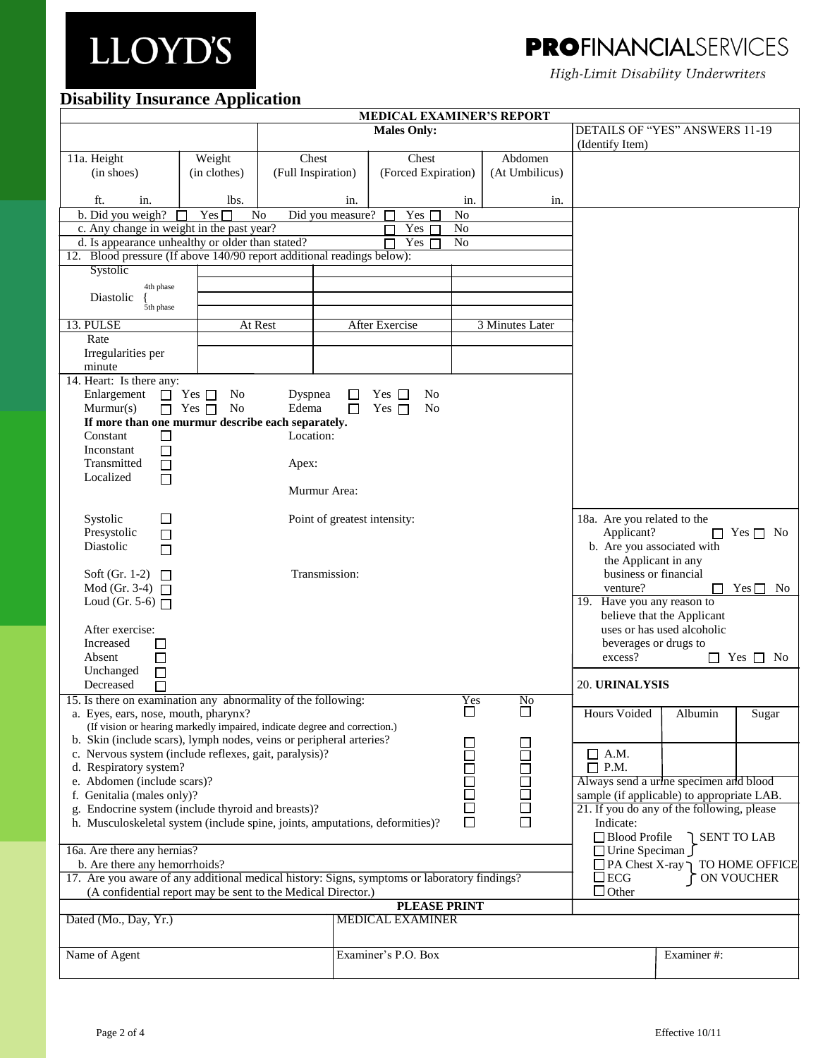## **PROFINANCIALSERVICES**

High-Limit Disability Underwriters

#### **Disability Insurance Application**

| <b>MEDICAL EXAMINER'S REPORT</b>                                                                                                                                                                               |                         |                    |                              |                              |                 |                |                                               |                            |                              |
|----------------------------------------------------------------------------------------------------------------------------------------------------------------------------------------------------------------|-------------------------|--------------------|------------------------------|------------------------------|-----------------|----------------|-----------------------------------------------|----------------------------|------------------------------|
|                                                                                                                                                                                                                |                         |                    |                              | <b>Males Only:</b>           |                 |                | <b>DETAILS OF "YES" ANSWERS 11-19</b>         |                            |                              |
| 11a. Height                                                                                                                                                                                                    | Weight                  | Chest              |                              | Chest                        |                 | Abdomen        | (Identify Item)                               |                            |                              |
| (in shoes)                                                                                                                                                                                                     | (in clothes)            | (Full Inspiration) |                              | (Forced Expiration)          |                 | (At Umbilicus) |                                               |                            |                              |
| ft.<br>in.                                                                                                                                                                                                     | lbs.                    |                    | in.                          |                              | in.             | in.            |                                               |                            |                              |
| b. Did you weigh?                                                                                                                                                                                              | Yes $\Box$              | N <sub>o</sub>     | Did you measure?             | Yes                          | No              |                |                                               |                            |                              |
| c. Any change in weight in the past year?                                                                                                                                                                      |                         |                    |                              | Yes $\Gamma$                 | No              |                |                                               |                            |                              |
| d. Is appearance unhealthy or older than stated?                                                                                                                                                               |                         |                    |                              | Yes $\Box$                   | No              |                |                                               |                            |                              |
| 12. Blood pressure (If above 140/90 report additional readings below):                                                                                                                                         |                         |                    |                              |                              |                 |                |                                               |                            |                              |
| Systolic                                                                                                                                                                                                       |                         |                    |                              |                              |                 |                |                                               |                            |                              |
| 4th phase<br>Diastolic<br>5th phase                                                                                                                                                                            |                         |                    |                              |                              |                 |                |                                               |                            |                              |
| 13. PULSE                                                                                                                                                                                                      |                         | At Rest            | After Exercise               |                              | 3 Minutes Later |                |                                               |                            |                              |
| Rate                                                                                                                                                                                                           |                         |                    |                              |                              |                 |                |                                               |                            |                              |
| Irregularities per<br>minute                                                                                                                                                                                   |                         |                    |                              |                              |                 |                |                                               |                            |                              |
| 14. Heart: Is there any:                                                                                                                                                                                       |                         |                    |                              |                              |                 |                |                                               |                            |                              |
| Enlargement                                                                                                                                                                                                    | $\Box$ Yes $\Box$<br>No | Dyspnea            |                              | $Yes \Box$<br>No             |                 |                |                                               |                            |                              |
| Murmur(s)                                                                                                                                                                                                      | $\Box$ Yes $\Box$<br>No | Edema              |                              | Yes $\Box$<br>N <sub>o</sub> |                 |                |                                               |                            |                              |
| If more than one murmur describe each separately.                                                                                                                                                              |                         |                    |                              |                              |                 |                |                                               |                            |                              |
| Constant<br>П                                                                                                                                                                                                  |                         | Location:          |                              |                              |                 |                |                                               |                            |                              |
| Inconstant<br>$\Box$<br>Transmitted<br>$\Box$                                                                                                                                                                  |                         | Apex:              |                              |                              |                 |                |                                               |                            |                              |
| Localized<br>П                                                                                                                                                                                                 |                         |                    | Murmur Area:                 |                              |                 |                |                                               |                            |                              |
| □<br>Systolic                                                                                                                                                                                                  |                         |                    | Point of greatest intensity: |                              |                 |                | 18a. Are you related to the                   |                            |                              |
| Presystolic<br>$\Box$                                                                                                                                                                                          |                         |                    |                              |                              |                 |                | Applicant?                                    |                            | $\Box$ Yes $\Box$ No         |
| Diastolic<br>П                                                                                                                                                                                                 |                         |                    |                              |                              |                 |                | b. Are you associated with                    |                            |                              |
| Soft (Gr. 1-2) $\Box$                                                                                                                                                                                          |                         |                    | Transmission:                |                              |                 |                | the Applicant in any<br>business or financial |                            |                              |
| Mod (Gr. 3-4) $\Box$                                                                                                                                                                                           |                         |                    |                              |                              |                 |                | venture?                                      | ΙI                         | $Yes \Box$<br>N <sub>o</sub> |
| Loud (Gr. 5-6) $\Box$<br>19. Have you any reason to                                                                                                                                                            |                         |                    |                              |                              |                 |                |                                               |                            |                              |
|                                                                                                                                                                                                                |                         |                    |                              |                              |                 |                |                                               | believe that the Applicant |                              |
| After exercise:<br>Increased                                                                                                                                                                                   |                         |                    |                              |                              |                 |                | beverages or drugs to                         | uses or has used alcoholic |                              |
| $\overline{\phantom{a}}$<br>Absent<br>$\Box$                                                                                                                                                                   |                         |                    |                              |                              |                 |                | excess?                                       |                            | $\Box$ Yes $\Box$<br>No      |
| Unchanged<br>□                                                                                                                                                                                                 |                         |                    |                              |                              |                 |                |                                               |                            |                              |
| Decreased                                                                                                                                                                                                      |                         |                    |                              |                              |                 |                | 20. URINALYSIS                                |                            |                              |
| 15. Is there on examination any abnormality of the following:                                                                                                                                                  |                         |                    |                              |                              | Yes             | No             |                                               |                            |                              |
| $\Box$<br>ப<br>a. Eyes, ears, nose, mouth, pharynx?<br>Hours Voided<br>Albumin<br>(If vision or hearing markedly impaired, indicate degree and correction.)                                                    |                         |                    |                              |                              |                 | Sugar          |                                               |                            |                              |
| b. Skin (include scars), lymph nodes, veins or peripheral arteries?                                                                                                                                            |                         |                    |                              |                              |                 |                |                                               |                            |                              |
| c. Nervous system (include reflexes, gait, paralysis)?<br>$\Box$ A.M.                                                                                                                                          |                         |                    |                              |                              |                 |                |                                               |                            |                              |
| d. Respiratory system?                                                                                                                                                                                         |                         |                    |                              |                              |                 |                | $\Box$ P.M.                                   |                            |                              |
| e. Abdomen (include scars)?                                                                                                                                                                                    |                         |                    |                              |                              |                 |                | Always send a urine specimen and blood        |                            |                              |
| 80000<br>88888<br>889<br>f. Genitalia (males only)?<br>sample (if applicable) to appropriate LAB.<br>g. Endocrine system (include thyroid and breasts)?<br>21. If you do any of the following, please          |                         |                    |                              |                              |                 |                |                                               |                            |                              |
| $\Box$<br>$\Box$<br>h. Musculoskeletal system (include spine, joints, amputations, deformities)?<br>Indicate:                                                                                                  |                         |                    |                              |                              |                 |                |                                               |                            |                              |
| □ Blood Profile<br>SENT TO LAB                                                                                                                                                                                 |                         |                    |                              |                              |                 |                |                                               |                            |                              |
| 16a. Are there any hernias?<br>□ Urine Speciman J                                                                                                                                                              |                         |                    |                              |                              |                 |                |                                               |                            |                              |
| b. Are there any hemorrhoids?<br>$\Box$ PA Chest X-ray $\bigcap$ TO HOME OFFICE<br>17. Are you aware of any additional medical history: Signs, symptoms or laboratory findings?<br>$\square$ ECG<br>ON VOUCHER |                         |                    |                              |                              |                 |                |                                               |                            |                              |
| $\Box$ Other<br>(A confidential report may be sent to the Medical Director.)                                                                                                                                   |                         |                    |                              |                              |                 |                |                                               |                            |                              |
| <b>PLEASE PRINT</b><br>Dated (Mo., Day, Yr.)<br><b>MEDICAL EXAMINER</b>                                                                                                                                        |                         |                    |                              |                              |                 |                |                                               |                            |                              |
|                                                                                                                                                                                                                |                         |                    |                              |                              |                 |                |                                               |                            |                              |
| Name of Agent                                                                                                                                                                                                  |                         |                    |                              | Examiner's P.O. Box          |                 |                |                                               | Examiner#:                 |                              |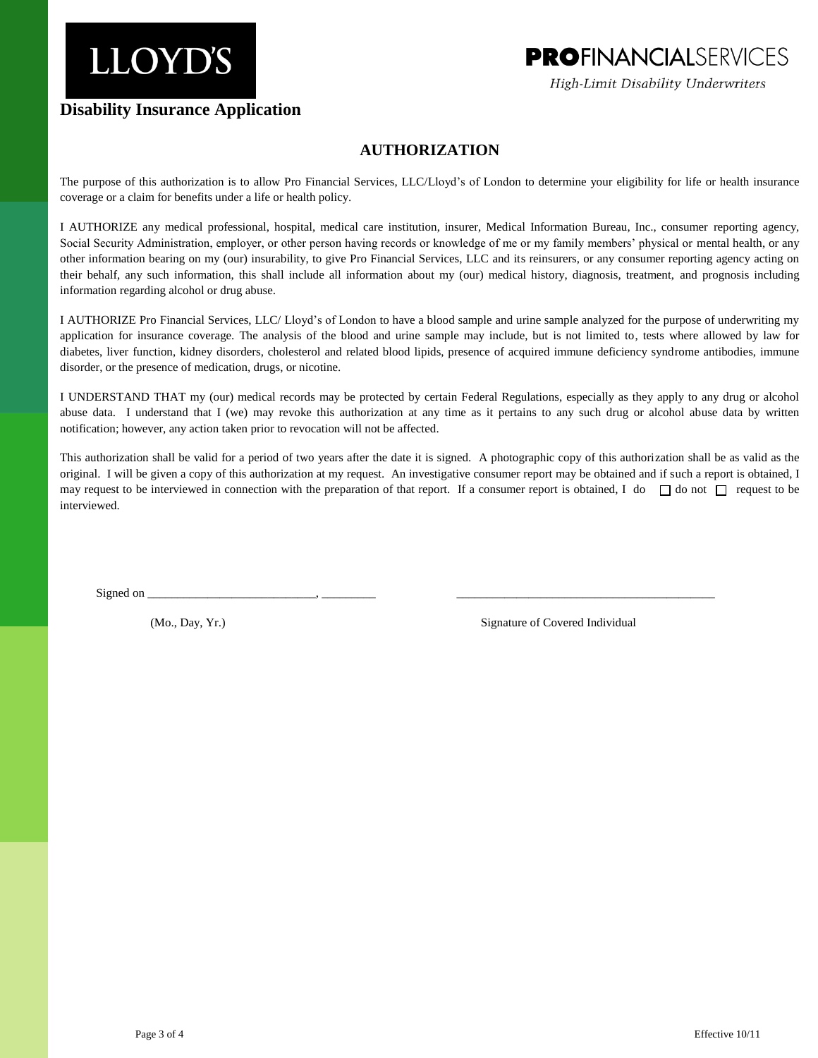### **PROFINANCIALSERVICES**

High-Limit Disability Underwriters

### **Disability Insurance Application**

#### **AUTHORIZATION**

The purpose of this authorization is to allow Pro Financial Services, LLC/Lloyd's of London to determine your eligibility for life or health insurance coverage or a claim for benefits under a life or health policy.

I AUTHORIZE any medical professional, hospital, medical care institution, insurer, Medical Information Bureau, Inc., consumer reporting agency, Social Security Administration, employer, or other person having records or knowledge of me or my family members' physical or mental health, or any other information bearing on my (our) insurability, to give Pro Financial Services, LLC and its reinsurers, or any consumer reporting agency acting on their behalf, any such information, this shall include all information about my (our) medical history, diagnosis, treatment, and prognosis including information regarding alcohol or drug abuse.

I AUTHORIZE Pro Financial Services, LLC/ Lloyd's of London to have a blood sample and urine sample analyzed for the purpose of underwriting my application for insurance coverage. The analysis of the blood and urine sample may include, but is not limited to, tests where allowed by law for diabetes, liver function, kidney disorders, cholesterol and related blood lipids, presence of acquired immune deficiency syndrome antibodies, immune disorder, or the presence of medication, drugs, or nicotine.

I UNDERSTAND THAT my (our) medical records may be protected by certain Federal Regulations, especially as they apply to any drug or alcohol abuse data. I understand that I (we) may revoke this authorization at any time as it pertains to any such drug or alcohol abuse data by written notification; however, any action taken prior to revocation will not be affected.

This authorization shall be valid for a period of two years after the date it is signed. A photographic copy of this authorization shall be as valid as the original. I will be given a copy of this authorization at my request. An investigative consumer report may be obtained and if such a report is obtained, I may request to be interviewed in connection with the preparation of that report. If a consumer report is obtained, I do  $\Box$  do not  $\Box$  request to be interviewed.

Signed on \_\_\_\_\_\_\_\_\_\_\_\_\_\_\_\_\_\_\_\_\_\_\_\_\_\_\_\_, \_\_\_\_\_\_\_\_\_ \_\_\_\_\_\_\_\_\_\_\_\_\_\_\_\_\_\_\_\_\_\_\_\_\_\_\_\_\_\_\_\_\_\_\_\_\_\_\_\_\_\_\_

(Mo., Day, Yr.) Signature of Covered Individual